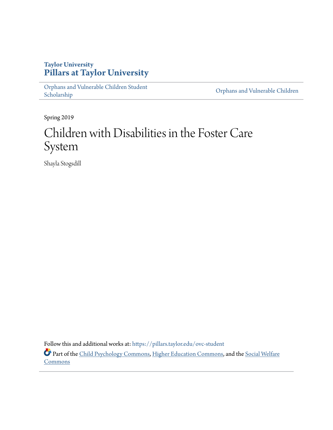# **Taylor University [Pillars at Taylor University](https://pillars.taylor.edu/?utm_source=pillars.taylor.edu%2Fovc-student%2F4&utm_medium=PDF&utm_campaign=PDFCoverPages)**

[Orphans and Vulnerable Children Student](https://pillars.taylor.edu/ovc-student?utm_source=pillars.taylor.edu%2Fovc-student%2F4&utm_medium=PDF&utm_campaign=PDFCoverPages) Orphans and Vulnerable Children<br>[Scholarship](https://pillars.taylor.edu/ovc-student?utm_source=pillars.taylor.edu%2Fovc-student%2F4&utm_medium=PDF&utm_campaign=PDFCoverPages) Children<br>Scholarship

Spring 2019

# Children with Disabilities in the Foster Care System

Shayla Stogsdill

Follow this and additional works at: [https://pillars.taylor.edu/ovc-student](https://pillars.taylor.edu/ovc-student?utm_source=pillars.taylor.edu%2Fovc-student%2F4&utm_medium=PDF&utm_campaign=PDFCoverPages) Part of the [Child Psychology Commons](http://network.bepress.com/hgg/discipline/1023?utm_source=pillars.taylor.edu%2Fovc-student%2F4&utm_medium=PDF&utm_campaign=PDFCoverPages), [Higher Education Commons](http://network.bepress.com/hgg/discipline/1245?utm_source=pillars.taylor.edu%2Fovc-student%2F4&utm_medium=PDF&utm_campaign=PDFCoverPages), and the [Social Welfare](http://network.bepress.com/hgg/discipline/401?utm_source=pillars.taylor.edu%2Fovc-student%2F4&utm_medium=PDF&utm_campaign=PDFCoverPages) **[Commons](http://network.bepress.com/hgg/discipline/401?utm_source=pillars.taylor.edu%2Fovc-student%2F4&utm_medium=PDF&utm_campaign=PDFCoverPages)**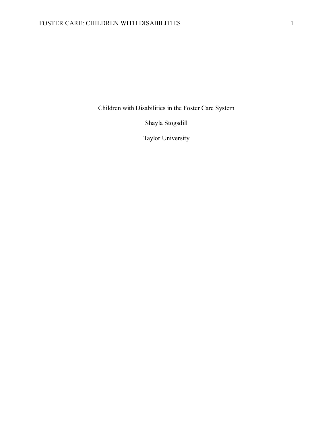Children with Disabilities in the Foster Care System

Shayla Stogsdill

Taylor University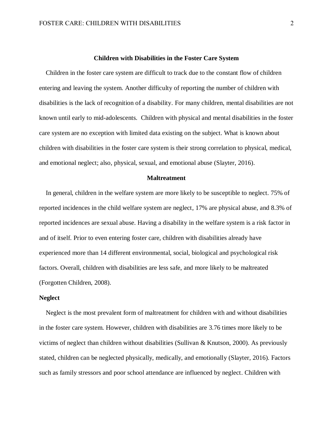#### **Children with Disabilities in the Foster Care System**

 Children in the foster care system are difficult to track due to the constant flow of children entering and leaving the system. Another difficulty of reporting the number of children with disabilities is the lack of recognition of a disability. For many children, mental disabilities are not known until early to mid-adolescents. Children with physical and mental disabilities in the foster care system are no exception with limited data existing on the subject. What is known about children with disabilities in the foster care system is their strong correlation to physical, medical, and emotional neglect; also, physical, sexual, and emotional abuse (Slayter, 2016).

#### **Maltreatment**

 In general, children in the welfare system are more likely to be susceptible to neglect. 75% of reported incidences in the child welfare system are neglect, 17% are physical abuse, and 8.3% of reported incidences are sexual abuse. Having a disability in the welfare system is a risk factor in and of itself. Prior to even entering foster care, children with disabilities already have experienced more than 14 different environmental, social, biological and psychological risk factors. Overall, children with disabilities are less safe, and more likely to be maltreated (Forgotten Children, 2008).

#### **Neglect**

Neglect is the most prevalent form of maltreatment for children with and without disabilities in the foster care system. However, children with disabilities are 3.76 times more likely to be victims of neglect than children without disabilities (Sullivan & Knutson, 2000). As previously stated, children can be neglected physically, medically, and emotionally (Slayter, 2016). Factors such as family stressors and poor school attendance are influenced by neglect. Children with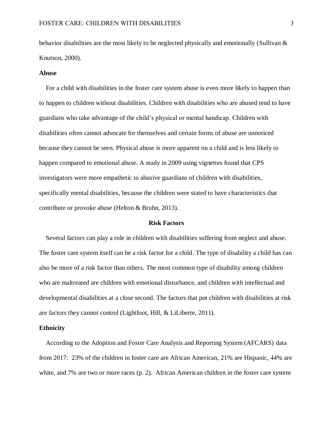behavior disabilities are the most likely to be neglected physically and emotionally (Sullivan & Knutson, 2000).

#### **Abuse**

 For a child with disabilities in the foster care system abuse is even more likely to happen than to happen to children without disabilities. Children with disabilities who are abused tend to have guardians who take advantage of the child's physical or mental handicap. Children with disabilities often cannot advocate for themselves and certain forms of abuse are unnoticed because they cannot be seen. Physical abuse is more apparent on a child and is less likely to happen compared to emotional abuse. A study in 2009 using vignettes found that CPS investigators were more empathetic to abusive guardians of children with disabilities, specifically mental disabilities, because the children were stated to have characteristics that contribute or provoke abuse (Helton & Bruhn, 2013).

#### **Risk Factors**

 Several factors can play a role in children with disabilities suffering from neglect and abuse. The foster care system itself can be a risk factor for a child. The type of disability a child has can also be more of a risk factor than others. The most common type of disability among children who are maltreated are children with emotional disturbance, and children with intellectual and developmental disabilities at a close second. The factors that put children with disabilities at risk are factors they cannot control (Lightfoot, Hill, & LiLiberte, 2011).

### **Ethnicity**

 According to the Adoption and Foster Care Analysis and Reporting System (AFCARS) data from 2017: 23% of the children in foster care are African American, 21% are Hispanic, 44% are white, and 7% are two or more races (p. 2). African American children in the foster care system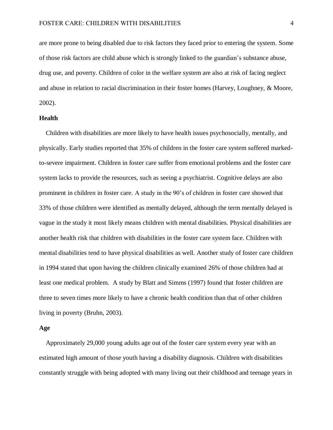are more prone to being disabled due to risk factors they faced prior to entering the system. Some of those risk factors are child abuse which is strongly linked to the guardian's substance abuse, drug use, and poverty. Children of color in the welfare system are also at risk of facing neglect and abuse in relation to racial discrimination in their foster homes (Harvey, Loughney, & Moore, 2002).

#### **Health**

 Children with disabilities are more likely to have health issues psychosocially, mentally, and physically. Early studies reported that 35% of children in the foster care system suffered markedto-severe impairment. Children in foster care suffer from emotional problems and the foster care system lacks to provide the resources, such as seeing a psychiatrist. Cognitive delays are also prominent in children in foster care. A study in the 90's of children in foster care showed that 33% of those children were identified as mentally delayed, although the term mentally delayed is vague in the study it most likely means children with mental disabilities. Physical disabilities are another health risk that children with disabilities in the foster care system face. Children with mental disabilities tend to have physical disabilities as well. Another study of foster care children in 1994 stated that upon having the children clinically examined 26% of those children had at least one medical problem. A study by Blatt and Simms (1997) found that foster children are three to seven times more likely to have a chronic health condition than that of other children living in poverty (Bruhn, 2003).

### **Age**

Approximately 29,000 young adults age out of the foster care system every year with an estimated high amount of those youth having a disability diagnosis. Children with disabilities constantly struggle with being adopted with many living out their childhood and teenage years in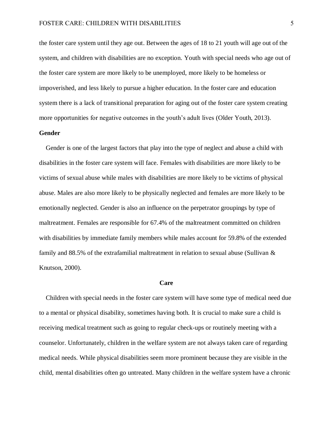the foster care system until they age out. Between the ages of 18 to 21 youth will age out of the system, and children with disabilities are no exception. Youth with special needs who age out of the foster care system are more likely to be unemployed, more likely to be homeless or impoverished, and less likely to pursue a higher education. In the foster care and education system there is a lack of transitional preparation for aging out of the foster care system creating more opportunities for negative outcomes in the youth's adult lives (Older Youth, 2013).

# **Gender**

 Gender is one of the largest factors that play into the type of neglect and abuse a child with disabilities in the foster care system will face. Females with disabilities are more likely to be victims of sexual abuse while males with disabilities are more likely to be victims of physical abuse. Males are also more likely to be physically neglected and females are more likely to be emotionally neglected. Gender is also an influence on the perpetrator groupings by type of maltreatment. Females are responsible for 67.4% of the maltreatment committed on children with disabilities by immediate family members while males account for 59.8% of the extended family and 88.5% of the extrafamilial maltreatment in relation to sexual abuse (Sullivan & Knutson, 2000).

#### **Care**

 Children with special needs in the foster care system will have some type of medical need due to a mental or physical disability, sometimes having both. It is crucial to make sure a child is receiving medical treatment such as going to regular check-ups or routinely meeting with a counselor. Unfortunately, children in the welfare system are not always taken care of regarding medical needs. While physical disabilities seem more prominent because they are visible in the child, mental disabilities often go untreated. Many children in the welfare system have a chronic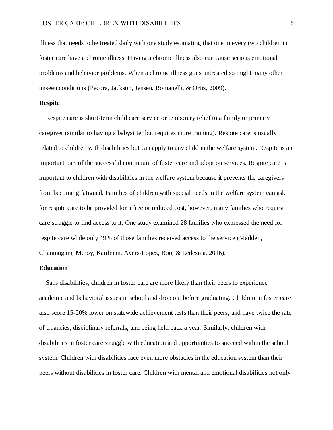illness that needs to be treated daily with one study estimating that one in every two children in foster care have a chronic illness. Having a chronic illness also can cause serious emotional problems and behavior problems. When a chronic illness goes untreated so might many other unseen conditions (Pecora, Jackson, Jensen, Romanelli, & Ortiz, 2009).

## **Respite**

Respite care is short-term child care service or temporary relief to a family or primary caregiver (similar to having a babysitter but requires more training). Respite care is usually related to children with disabilities but can apply to any child in the welfare system. Respite is an important part of the successful continuum of foster care and adoption services. Respite care is important to children with disabilities in the welfare system because it prevents the caregivers from becoming fatigued. Families of children with special needs in the welfare system can ask for respite care to be provided for a free or reduced cost, however, many families who request care struggle to find access to it. One study examined 28 families who expressed the need for respite care while only 49% of those families received access to the service (Madden, Chanmugam, Mcroy, Kaufman, Ayers-Lopez, Boo, & Ledesma, 2016).

### **Education**

 Sans disabilities, children in foster care are more likely than their peers to experience academic and behavioral issues in school and drop out before graduating. Children in foster care also score 15-20% lower on statewide achievement tests than their peers, and have twice the rate of truancies, disciplinary referrals, and being held back a year. Similarly, children with disabilities in foster care struggle with education and opportunities to succeed within the school system. Children with disabilities face even more obstacles in the education system than their peers without disabilities in foster care. Children with mental and emotional disabilities not only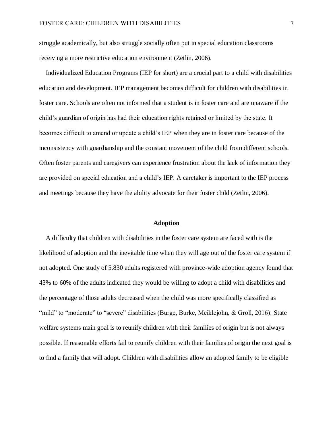struggle academically, but also struggle socially often put in special education classrooms receiving a more restrictive education environment (Zetlin, 2006).

 Individualized Education Programs (IEP for short) are a crucial part to a child with disabilities education and development. IEP management becomes difficult for children with disabilities in foster care. Schools are often not informed that a student is in foster care and are unaware if the child's guardian of origin has had their education rights retained or limited by the state. It becomes difficult to amend or update a child's IEP when they are in foster care because of the inconsistency with guardianship and the constant movement of the child from different schools. Often foster parents and caregivers can experience frustration about the lack of information they are provided on special education and a child's IEP. A caretaker is important to the IEP process and meetings because they have the ability advocate for their foster child (Zetlin, 2006).

#### **Adoption**

 A difficulty that children with disabilities in the foster care system are faced with is the likelihood of adoption and the inevitable time when they will age out of the foster care system if not adopted. One study of 5,830 adults registered with province-wide adoption agency found that 43% to 60% of the adults indicated they would be willing to adopt a child with disabilities and the percentage of those adults decreased when the child was more specifically classified as "mild" to "moderate" to "severe" disabilities (Burge, Burke, Meiklejohn, & Groll, 2016). State welfare systems main goal is to reunify children with their families of origin but is not always possible. If reasonable efforts fail to reunify children with their families of origin the next goal is to find a family that will adopt. Children with disabilities allow an adopted family to be eligible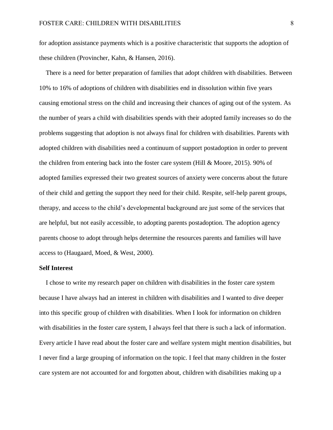for adoption assistance payments which is a positive characteristic that supports the adoption of these children (Provincher, Kahn, & Hansen, 2016).

 There is a need for better preparation of families that adopt children with disabilities. Between 10% to 16% of adoptions of children with disabilities end in dissolution within five years causing emotional stress on the child and increasing their chances of aging out of the system. As the number of years a child with disabilities spends with their adopted family increases so do the problems suggesting that adoption is not always final for children with disabilities. Parents with adopted children with disabilities need a continuum of support postadoption in order to prevent the children from entering back into the foster care system (Hill & Moore, 2015). 90% of adopted families expressed their two greatest sources of anxiety were concerns about the future of their child and getting the support they need for their child. Respite, self-help parent groups, therapy, and access to the child's developmental background are just some of the services that are helpful, but not easily accessible, to adopting parents postadoption. The adoption agency parents choose to adopt through helps determine the resources parents and families will have access to (Haugaard, Moed, & West, 2000).

### **Self Interest**

 I chose to write my research paper on children with disabilities in the foster care system because I have always had an interest in children with disabilities and I wanted to dive deeper into this specific group of children with disabilities. When I look for information on children with disabilities in the foster care system, I always feel that there is such a lack of information. Every article I have read about the foster care and welfare system might mention disabilities, but I never find a large grouping of information on the topic. I feel that many children in the foster care system are not accounted for and forgotten about, children with disabilities making up a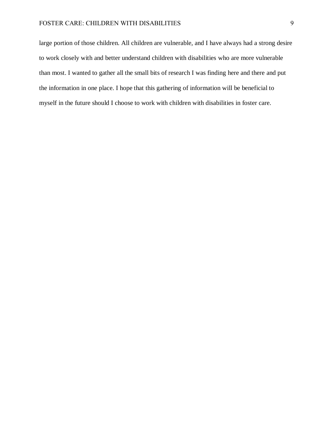# FOSTER CARE: CHILDREN WITH DISABILITIES 9

large portion of those children. All children are vulnerable, and I have always had a strong desire to work closely with and better understand children with disabilities who are more vulnerable than most. I wanted to gather all the small bits of research I was finding here and there and put the information in one place. I hope that this gathering of information will be beneficial to myself in the future should I choose to work with children with disabilities in foster care.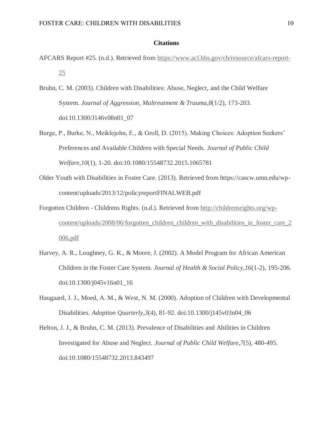## **Citations**

- AFCARS Report #25. (n.d.). Retrieved from [https://www.acf.hhs.gov/cb/resource/afcars-report-](https://www.acf.hhs.gov/cb/resource/afcars-report-25)[25](https://www.acf.hhs.gov/cb/resource/afcars-report-25)
- Bruhn, C. M. (2003). Children with Disabilities: Abuse, Neglect, and the Child Welfare System. *Journal of Aggression, Maltreatment & Trauma,8*(1/2), 173-203. doi:10.1300/J146v08n01\_07
- Burge, P., Burke, N., Meiklejohn, E., & Groll, D. (2015). Making Choices: Adoption Seekers' Preferences and Available Children with Special Needs. *Journal of Public Child Welfare,10*(1), 1-20. doi:10.1080/15548732.2015.1065781
- Older Youth with Disabilities in Foster Care. (2013). Retrieved from https://cascw.umn.edu/wpcontent/uploads/2013/12/policyreportFINALWEB.pdf
- Forgotten Children Childrens Rights. (n.d.). Retrieved from [http://childrensrights.org/wp](http://childrensrights.org/wp-content/uploads/2008/06/forgotten_children_children_with_disabilities_in_foster_care_2006.pdf)[content/uploads/2008/06/forgotten\\_children\\_children\\_with\\_disabilities\\_in\\_foster\\_care\\_2](http://childrensrights.org/wp-content/uploads/2008/06/forgotten_children_children_with_disabilities_in_foster_care_2006.pdf) [006.pdf](http://childrensrights.org/wp-content/uploads/2008/06/forgotten_children_children_with_disabilities_in_foster_care_2006.pdf)
- Harvey, A. R., Loughney, G. K., & Moore, J. (2002). A Model Program for African American Children in the Foster Care System. *Journal of Health & Social Policy,16*(1-2), 195-206. doi:10.1300/j045v16n01\_16
- Haugaard, J. J., Moed, A. M., & West, N. M. (2000). Adoption of Children with Developmental Disabilities. *Adoption Quarterly,3*(4), 81-92. doi:10.1300/j145v03n04\_06
- Helton, J. J., & Bruhn, C. M. (2013). Prevalence of Disabilities and Abilities in Children Investigated for Abuse and Neglect. *Journal of Public Child Welfare,7*(5), 480-495. doi:10.1080/15548732.2013.843497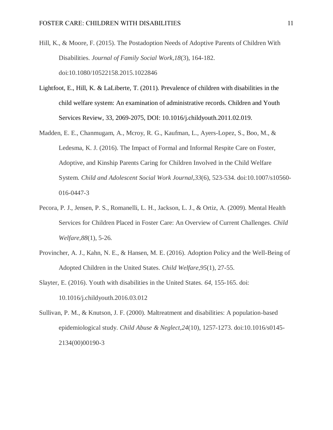- Hill, K., & Moore, F. (2015). The Postadoption Needs of Adoptive Parents of Children With Disabilities. *Journal of Family Social Work,18*(3), 164-182. doi:10.1080/10522158.2015.1022846
- Lightfoot, E., Hill, K. & LaLiberte, T. (2011). Prevalence of children with disabilities in the child welfare system: An examination of administrative records. Children and Youth Services Review, 33, 2069-2075, DOI: 10.1016/j.childyouth.2011.02.019.
- Madden, E. E., Chanmugam, A., Mcroy, R. G., Kaufman, L., Ayers-Lopez, S., Boo, M., & Ledesma, K. J. (2016). The Impact of Formal and Informal Respite Care on Foster, Adoptive, and Kinship Parents Caring for Children Involved in the Child Welfare System. *Child and Adolescent Social Work Journal,33*(6), 523-534. doi:10.1007/s10560- 016-0447-3
- Pecora, P. J., Jensen, P. S., Romanelli, L. H., Jackson, L. J., & Ortiz, A. (2009). Mental Health Services for Children Placed in Foster Care: An Overview of Current Challenges. *Child Welfare,88*(1), 5-26.
- Provincher, A. J., Kahn, N. E., & Hansen, M. E. (2016). Adoption Policy and the Well-Being of Adopted Children in the United States. *Child Welfare,95*(1), 27-55.
- Slayter, E. (2016). Youth with disabilities in the United States. *64*, 155-165. doi: 10.1016/j.childyouth.2016.03.012
- Sullivan, P. M., & Knutson, J. F. (2000). Maltreatment and disabilities: A population-based epidemiological study. *Child Abuse & Neglect,24*(10), 1257-1273. doi:10.1016/s0145- 2134(00)00190-3